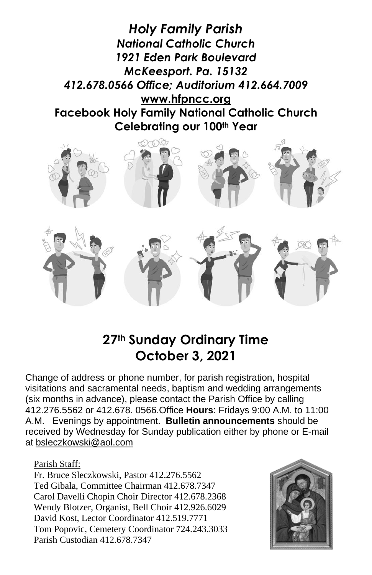

# **27th Sunday Ordinary Time October 3, 2021**

Change of address or phone number, for parish registration, hospital visitations and sacramental needs, baptism and wedding arrangements (six months in advance), please contact the Parish Office by calling 412.276.5562 or 412.678. 0566.Office **Hours**: Fridays 9:00 A.M. to 11:00 A.M. Evenings by appointment. **Bulletin announcements** should be received by Wednesday for Sunday publication either by phone or E-mail at [bsleczkowski@aol.com](mailto:bsleczkowski@aol.com)

Parish Staff:

Fr. Bruce Sleczkowski, Pastor 412.276.5562 Ted Gibala, Committee Chairman 412.678.7347 Carol Davelli Chopin Choir Director 412.678.2368 Wendy Blotzer, Organist, Bell Choir 412.926.6029 David Kost, Lector Coordinator 412.519.7771 Tom Popovic, Cemetery Coordinator 724.243.3033 Parish Custodian 412.678.7347

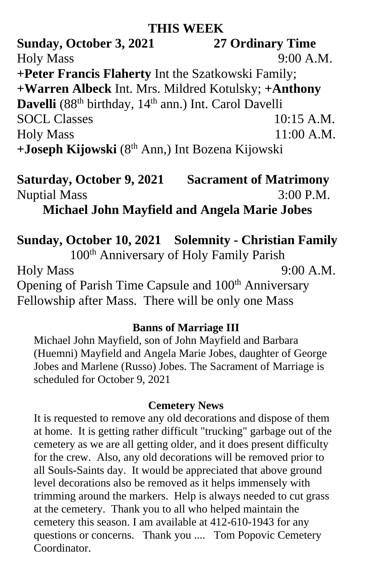### **THIS WEEK**

**Sunday, October 3, 2021 27 Ordinary Time** Holy Mass 9:00 A.M. **+Peter Francis Flaherty** Int the Szatkowski Family; **+Warren Albeck** Int. Mrs. Mildred Kotulsky; **+Anthony** Davelli (88<sup>th</sup> birthday, 14<sup>th</sup> ann.) Int. Carol Davelli SOCL Classes 10:15 A.M. Holy Mass 11:00 A.M. **+Joseph Kijowski** (8th Ann,) Int Bozena Kijowski

# **Saturday, October 9, 2021 Sacrament of Matrimony**  Nuptial Mass 3:00 P.M.

**Michael John Mayfield and Angela Marie Jobes**

## **Sunday, October 10, 2021 Solemnity - Christian Family**

100th Anniversary of Holy Family Parish Holy Mass 9:00 A.M. Opening of Parish Time Capsule and 100<sup>th</sup> Anniversary Fellowship after Mass. There will be only one Mass

#### **Banns of Marriage III**

Michael John Mayfield, son of John Mayfield and Barbara (Huemni) Mayfield and Angela Marie Jobes, daughter of George Jobes and Marlene (Russo) Jobes. The Sacrament of Marriage is scheduled for October 9, 2021

### **Cemetery News**

It is requested to remove any old decorations and dispose of them at home. It is getting rather difficult "trucking" garbage out of the cemetery as we are all getting older, and it does present difficulty for the crew. Also, any old decorations will be removed prior to all Souls-Saints day. It would be appreciated that above ground level decorations also be removed as it helps immensely with trimming around the markers. Help is always needed to cut grass at the cemetery. Thank you to all who helped maintain the cemetery this season. I am available at 412-610-1943 for any questions or concerns. Thank you .... Tom Popovic Cemetery Coordinator.